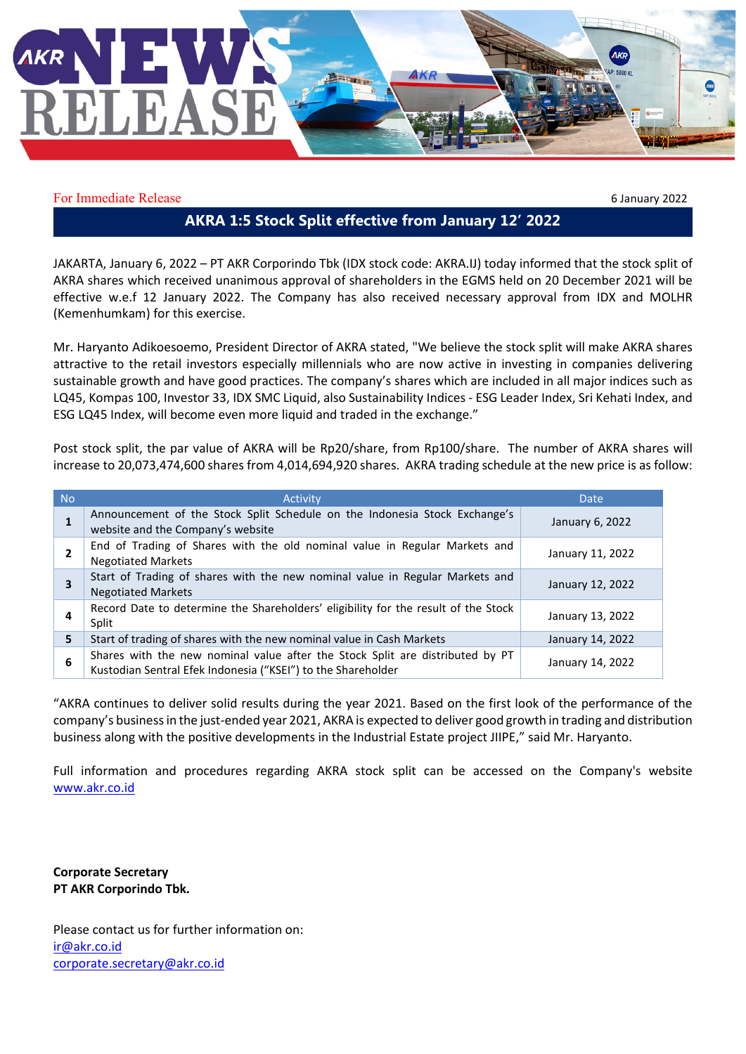

For Immediate Release 6 January 2022

## **AKRA 1:5 Stock Split effective from January 12' 2022**

JAKARTA, January 6, 2022 – PT AKR Corporindo Tbk (IDX stock code: AKRA.IJ) today informed that the stock split of AKRA shares which received unanimous approval of shareholders in the EGMS held on 20 December 2021 will be effective w.e.f 12 January 2022. The Company has also received necessary approval from IDX and MOLHR (Kemenhumkam) for this exercise.

Mr. Haryanto Adikoesoemo, President Director of AKRA stated, "We believe the stock split will make AKRA shares attractive to the retail investors especially millennials who are now active in investing in companies delivering sustainable growth and have good practices. The company's shares which are included in all major indices such as LQ45, Kompas 100, Investor 33, IDX SMC Liquid, also Sustainability Indices - ESG Leader Index, Sri Kehati Index, and ESG LQ45 Index, will become even more liquid and traded in the exchange."

Post stock split, the par value of AKRA will be Rp20/share, from Rp100/share. The number of AKRA shares will increase to 20,073,474,600 shares from 4,014,694,920 shares. AKRA trading schedule at the new price is as follow:

| N <sub>o</sub> | Activity                                                                                                                                      | <b>Date</b>      |
|----------------|-----------------------------------------------------------------------------------------------------------------------------------------------|------------------|
| 1              | Announcement of the Stock Split Schedule on the Indonesia Stock Exchange's<br>website and the Company's website                               | January 6, 2022  |
|                | End of Trading of Shares with the old nominal value in Regular Markets and<br><b>Negotiated Markets</b>                                       | January 11, 2022 |
|                | Start of Trading of shares with the new nominal value in Regular Markets and<br><b>Negotiated Markets</b>                                     | January 12, 2022 |
|                | Record Date to determine the Shareholders' eligibility for the result of the Stock<br>Split                                                   | January 13, 2022 |
| 5              | Start of trading of shares with the new nominal value in Cash Markets                                                                         | January 14, 2022 |
| 6              | Shares with the new nominal value after the Stock Split are distributed by PT<br>Kustodian Sentral Efek Indonesia ("KSEI") to the Shareholder | January 14, 2022 |

"AKRA continues to deliver solid results during the year 2021. Based on the first look of the performance of the company's business in the just-ended year 2021, AKRA is expected to deliver good growth in trading and distribution business along with the positive developments in the Industrial Estate project JIIPE," said Mr. Haryanto.

Full information and procedures regarding AKRA stock split can be accessed on the Company's website [www.akr.co.id](http://www.akr.co.id/)

**Corporate Secretary PT AKR Corporindo Tbk.**

Please contact us for further information on: [ir@akr.co.id](mailto:ir@akr.co.id) [corporate.secretary@akr.co.id](mailto:corporate.secretary@akr.co.id)